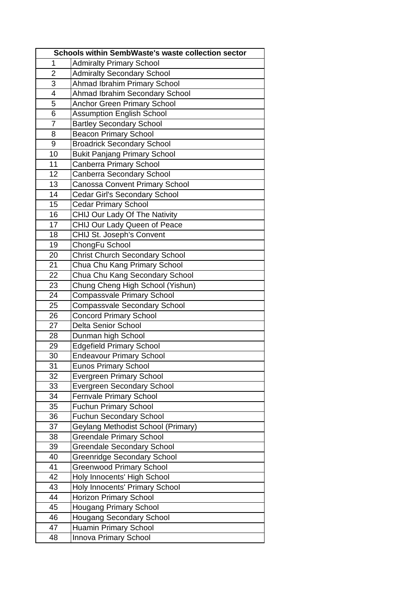| Schools within SembWaste's waste collection sector |                                       |
|----------------------------------------------------|---------------------------------------|
| 1                                                  | <b>Admiralty Primary School</b>       |
| $\overline{2}$                                     | <b>Admiralty Secondary School</b>     |
| 3                                                  | Ahmad Ibrahim Primary School          |
| 4                                                  | Ahmad Ibrahim Secondary School        |
| 5                                                  | <b>Anchor Green Primary School</b>    |
| 6                                                  | <b>Assumption English School</b>      |
| $\overline{7}$                                     | <b>Bartley Secondary School</b>       |
| 8                                                  | <b>Beacon Primary School</b>          |
| 9                                                  | <b>Broadrick Secondary School</b>     |
| 10                                                 | <b>Bukit Panjang Primary School</b>   |
| 11                                                 | Canberra Primary School               |
| 12                                                 | Canberra Secondary School             |
| 13                                                 | Canossa Convent Primary School        |
| 14                                                 | <b>Cedar Girl's Secondary School</b>  |
| 15                                                 | <b>Cedar Primary School</b>           |
| 16                                                 | CHIJ Our Lady Of The Nativity         |
| 17                                                 | CHIJ Our Lady Queen of Peace          |
| 18                                                 | CHIJ St. Joseph's Convent             |
| 19                                                 | ChongFu School                        |
| 20                                                 | <b>Christ Church Secondary School</b> |
| 21                                                 | Chua Chu Kang Primary School          |
| 22                                                 | Chua Chu Kang Secondary School        |
| 23                                                 | Chung Cheng High School (Yishun)      |
| 24                                                 | <b>Compassvale Primary School</b>     |
| 25                                                 | <b>Compassvale Secondary School</b>   |
| 26                                                 | <b>Concord Primary School</b>         |
| 27                                                 | <b>Delta Senior School</b>            |
| 28                                                 | Dunman high School                    |
| 29                                                 | <b>Edgefield Primary School</b>       |
| 30                                                 | <b>Endeavour Primary School</b>       |
| 31                                                 | <b>Eunos Primary School</b>           |
| 32                                                 | <b>Evergreen Primary School</b>       |
| 33                                                 | <b>Evergreen Secondary School</b>     |
| 34                                                 | <b>Fernvale Primary School</b>        |
| 35                                                 | <b>Fuchun Primary School</b>          |
| 36                                                 | <b>Fuchun Secondary School</b>        |
| 37                                                 | Geylang Methodist School (Primary)    |
| 38                                                 | <b>Greendale Primary School</b>       |
| 39                                                 | <b>Greendale Secondary School</b>     |
| 40                                                 | <b>Greenridge Secondary School</b>    |
| 41                                                 | <b>Greenwood Primary School</b>       |
| 42                                                 | Holy Innocents' High School           |
| 43                                                 | Holy Innocents' Primary School        |
| 44                                                 | <b>Horizon Primary School</b>         |
| 45                                                 | <b>Hougang Primary School</b>         |
| 46                                                 | Hougang Secondary School              |
| 47                                                 | <b>Huamin Primary School</b>          |
| 48                                                 | Innova Primary School                 |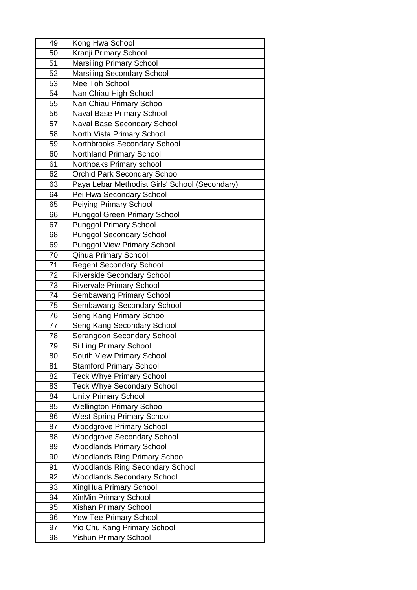| 49 | Kong Hwa School                                |
|----|------------------------------------------------|
| 50 | Kranji Primary School                          |
| 51 | <b>Marsiling Primary School</b>                |
| 52 | <b>Marsiling Secondary School</b>              |
| 53 | Mee Toh School                                 |
| 54 | Nan Chiau High School                          |
| 55 | Nan Chiau Primary School                       |
| 56 | Naval Base Primary School                      |
| 57 | Naval Base Secondary School                    |
| 58 | North Vista Primary School                     |
| 59 | Northbrooks Secondary School                   |
| 60 | <b>Northland Primary School</b>                |
| 61 | Northoaks Primary school                       |
| 62 | <b>Orchid Park Secondary School</b>            |
| 63 | Paya Lebar Methodist Girls' School (Secondary) |
| 64 | Pei Hwa Secondary School                       |
| 65 | <b>Peiying Primary School</b>                  |
| 66 | <b>Punggol Green Primary School</b>            |
| 67 | <b>Punggol Primary School</b>                  |
| 68 | <b>Punggol Secondary School</b>                |
| 69 | <b>Punggol View Primary School</b>             |
| 70 | Qihua Primary School                           |
| 71 | <b>Regent Secondary School</b>                 |
| 72 | <b>Riverside Secondary School</b>              |
| 73 | <b>Rivervale Primary School</b>                |
| 74 | Sembawang Primary School                       |
| 75 | Sembawang Secondary School                     |
| 76 | Seng Kang Primary School                       |
| 77 | Seng Kang Secondary School                     |
| 78 | Serangoon Secondary School                     |
| 79 | Si Ling Primary School                         |
| 80 | South View Primary School                      |
| 81 | <b>Stamford Primary School</b>                 |
| 82 | <b>Teck Whye Primary School</b>                |
| 83 | <b>Teck Whye Secondary School</b>              |
| 84 | <b>Unity Primary School</b>                    |
| 85 | <b>Wellington Primary School</b>               |
| 86 | <b>West Spring Primary School</b>              |
| 87 | <b>Woodgrove Primary School</b>                |
| 88 | <b>Woodgrove Secondary School</b>              |
| 89 | <b>Woodlands Primary School</b>                |
| 90 | <b>Woodlands Ring Primary School</b>           |
| 91 | <b>Woodlands Ring Secondary School</b>         |
| 92 | <b>Woodlands Secondary School</b>              |
| 93 | XingHua Primary School                         |
| 94 | XinMin Primary School                          |
| 95 | Xishan Primary School                          |
| 96 | Yew Tee Primary School                         |
| 97 | Yio Chu Kang Primary School                    |
| 98 | <b>Yishun Primary School</b>                   |